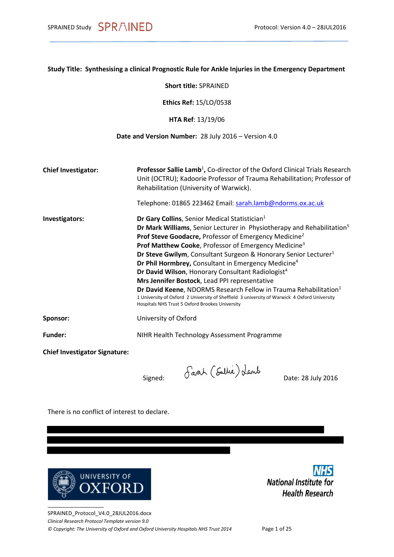|  |  |  |  |  | Study Title: Synthesising a clinical Prognostic Rule for Ankle Injuries in the Emergency Department |
|--|--|--|--|--|-----------------------------------------------------------------------------------------------------|
|--|--|--|--|--|-----------------------------------------------------------------------------------------------------|

**Short title:** SPRAINED

**Ethics Ref:** 15/LO/0538

**HTA Ref**: 13/19/06

#### **Date and Version Number:** 28 July 2016 – Version 4.0

| <b>Chief Investigator:</b>           | <b>Professor Sallie Lamb<sup>1</sup>, Co-director of the Oxford Clinical Trials Research</b><br>Unit (OCTRU); Kadoorie Professor of Trauma Rehabilitation; Professor of<br>Rehabilitation (University of Warwick).              |
|--------------------------------------|---------------------------------------------------------------------------------------------------------------------------------------------------------------------------------------------------------------------------------|
|                                      | Telephone: 01865 223462 Email: sarah.lamb@ndorms.ox.ac.uk                                                                                                                                                                       |
| Investigators:                       | Dr Gary Collins, Senior Medical Statistician <sup>1</sup>                                                                                                                                                                       |
|                                      | Dr Mark Williams, Senior Lecturer in Physiotherapy and Rehabilitation <sup>5</sup>                                                                                                                                              |
|                                      | Prof Steve Goodacre, Professor of Emergency Medicine <sup>2</sup>                                                                                                                                                               |
|                                      | Prof Matthew Cooke, Professor of Emergency Medicine <sup>3</sup>                                                                                                                                                                |
|                                      | <b>Dr Steve Gwilym, Consultant Surgeon &amp; Honorary Senior Lecturer</b> <sup>1</sup>                                                                                                                                          |
|                                      | Dr Phil Hormbrey, Consultant in Emergency Medicine <sup>4</sup>                                                                                                                                                                 |
|                                      | Dr David Wilson, Honorary Consultant Radiologist <sup>4</sup>                                                                                                                                                                   |
|                                      | Mrs Jennifer Bostock, Lead PPI representative                                                                                                                                                                                   |
|                                      | Dr David Keene, NDORMS Research Fellow in Trauma Rehabilitation <sup>1</sup><br>1 University of Oxford 2 University of Sheffield 3 university of Warwick 4 Oxford University<br>Hospitals NHS Trust 5 Oxford Brookes University |
| Sponsor:                             | University of Oxford                                                                                                                                                                                                            |
| <b>Funder:</b>                       | NIHR Health Technology Assessment Programme                                                                                                                                                                                     |
| <b>Chief Investigator Signature:</b> |                                                                                                                                                                                                                                 |
|                                      |                                                                                                                                                                                                                                 |

Signed:  $\int aab \, (\text{Sultie})\, \text{d}anb$  Date: 28 July 2016

There is no conflict of interest to declare.



**NHS National Institute for Health Research** 

SPRAINED\_Protocol\_V4.0\_28JUL2016.docx *Clinical Research Protocol Template version 9.0 © Copyright: The University of Oxford and Oxford University Hospitals NHS Trust 2014* Page 1 of 25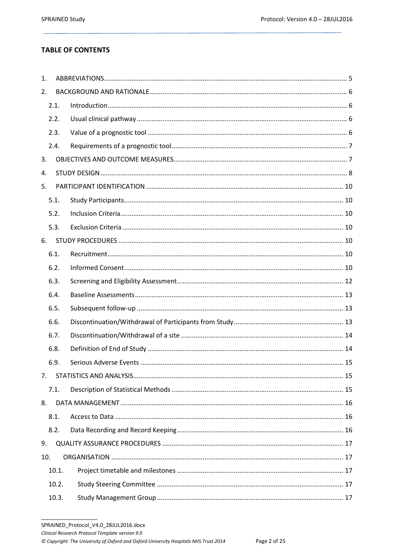# **TABLE OF CONTENTS**

| 1.  |       |  |  |  |  |  |
|-----|-------|--|--|--|--|--|
| 2.  |       |  |  |  |  |  |
|     | 2.1.  |  |  |  |  |  |
|     | 2.2.  |  |  |  |  |  |
|     | 2.3.  |  |  |  |  |  |
|     | 2.4.  |  |  |  |  |  |
| 3.  |       |  |  |  |  |  |
| 4.  |       |  |  |  |  |  |
| 5.  |       |  |  |  |  |  |
|     | 5.1.  |  |  |  |  |  |
|     | 5.2.  |  |  |  |  |  |
|     | 5.3.  |  |  |  |  |  |
| 6.  |       |  |  |  |  |  |
|     | 6.1.  |  |  |  |  |  |
|     | 6.2.  |  |  |  |  |  |
|     | 6.3.  |  |  |  |  |  |
|     | 6.4.  |  |  |  |  |  |
|     | 6.5.  |  |  |  |  |  |
|     | 6.6.  |  |  |  |  |  |
|     | 6.7.  |  |  |  |  |  |
|     | 6.8.  |  |  |  |  |  |
|     | 6.9.  |  |  |  |  |  |
| 7.  |       |  |  |  |  |  |
|     | 7.1.  |  |  |  |  |  |
| 8.  |       |  |  |  |  |  |
|     | 8.1.  |  |  |  |  |  |
|     | 8.2.  |  |  |  |  |  |
| 9.  |       |  |  |  |  |  |
| 10. |       |  |  |  |  |  |
|     | 10.1. |  |  |  |  |  |
|     | 10.2. |  |  |  |  |  |
|     | 10.3. |  |  |  |  |  |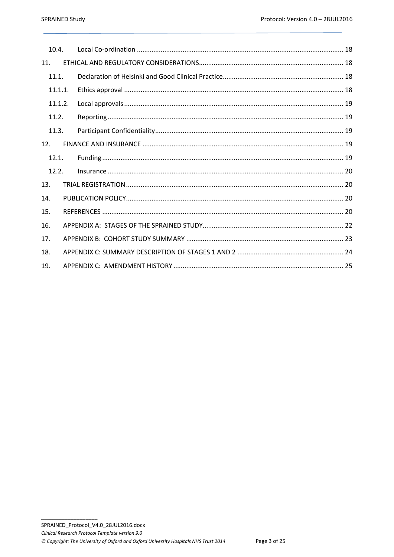| 10.4.   |  |  |  |  |
|---------|--|--|--|--|
| 11.     |  |  |  |  |
| 11.1.   |  |  |  |  |
| 11.1.1. |  |  |  |  |
| 11.1.2. |  |  |  |  |
| 11.2.   |  |  |  |  |
| 11.3.   |  |  |  |  |
| 12.     |  |  |  |  |
| 12.1.   |  |  |  |  |
| 12.2.   |  |  |  |  |
| 13.     |  |  |  |  |
| 14.     |  |  |  |  |
| 15.     |  |  |  |  |
| 16.     |  |  |  |  |
| 17.     |  |  |  |  |
| 18.     |  |  |  |  |
| 19.     |  |  |  |  |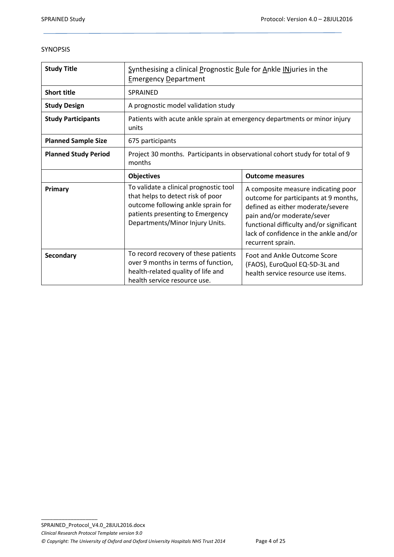#### SYNOPSIS

| <b>Study Title</b>          | Synthesising a clinical Prognostic Rule for Ankle INjuries in the<br><b>Emergency Department</b>                                                                                         |                                                                                                                                                                                                                                                            |  |
|-----------------------------|------------------------------------------------------------------------------------------------------------------------------------------------------------------------------------------|------------------------------------------------------------------------------------------------------------------------------------------------------------------------------------------------------------------------------------------------------------|--|
| <b>Short title</b>          | <b>SPRAINED</b>                                                                                                                                                                          |                                                                                                                                                                                                                                                            |  |
| <b>Study Design</b>         | A prognostic model validation study                                                                                                                                                      |                                                                                                                                                                                                                                                            |  |
| <b>Study Participants</b>   | Patients with acute ankle sprain at emergency departments or minor injury<br>units                                                                                                       |                                                                                                                                                                                                                                                            |  |
| <b>Planned Sample Size</b>  | 675 participants                                                                                                                                                                         |                                                                                                                                                                                                                                                            |  |
| <b>Planned Study Period</b> | Project 30 months. Participants in observational cohort study for total of 9<br>months                                                                                                   |                                                                                                                                                                                                                                                            |  |
|                             | <b>Objectives</b>                                                                                                                                                                        | <b>Outcome measures</b>                                                                                                                                                                                                                                    |  |
| Primary                     | To validate a clinical prognostic tool<br>that helps to detect risk of poor<br>outcome following ankle sprain for<br>patients presenting to Emergency<br>Departments/Minor Injury Units. | A composite measure indicating poor<br>outcome for participants at 9 months,<br>defined as either moderate/severe<br>pain and/or moderate/sever<br>functional difficulty and/or significant<br>lack of confidence in the ankle and/or<br>recurrent sprain. |  |
| Secondary                   | To record recovery of these patients<br>over 9 months in terms of function,<br>health-related quality of life and<br>health service resource use.                                        | Foot and Ankle Outcome Score<br>(FAOS), EuroQuol EQ-5D-3L and<br>health service resource use items.                                                                                                                                                        |  |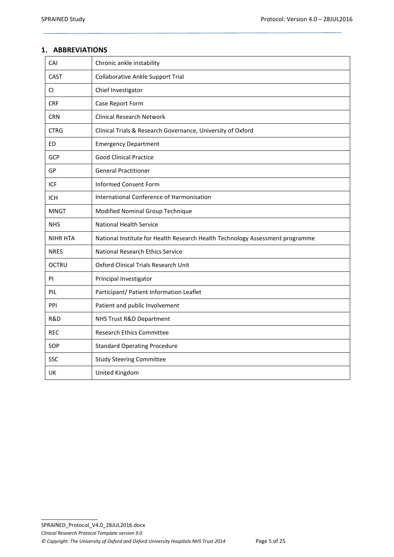### <span id="page-4-0"></span>**1. ABBREVIATIONS**

| CAI             | Chronic ankle instability                                                     |
|-----------------|-------------------------------------------------------------------------------|
| CAST            | <b>Collaborative Ankle Support Trial</b>                                      |
| CI.             | Chief Investigator                                                            |
| <b>CRF</b>      | Case Report Form                                                              |
| <b>CRN</b>      | <b>Clinical Research Network</b>                                              |
| <b>CTRG</b>     | Clinical Trials & Research Governance, University of Oxford                   |
| <b>ED</b>       | <b>Emergency Department</b>                                                   |
| <b>GCP</b>      | <b>Good Clinical Practice</b>                                                 |
| GP              | <b>General Practitioner</b>                                                   |
| ICF             | <b>Informed Consent Form</b>                                                  |
| <b>ICH</b>      | International Conference of Harmonisation                                     |
| <b>MNGT</b>     | Modified Nominal Group Technique                                              |
| <b>NHS</b>      | <b>National Health Service</b>                                                |
| <b>NIHR HTA</b> | National Institute for Health Research Health Technology Assessment programme |
| <b>NRES</b>     | <b>National Research Ethics Service</b>                                       |
| <b>OCTRU</b>    | Oxford Clinical Trials Research Unit                                          |
| PI              | Principal Investigator                                                        |
| PIL             | Participant/ Patient Information Leaflet                                      |
| PPI             | Patient and public Involvement                                                |
| R&D             | NHS Trust R&D Department                                                      |
| <b>REC</b>      | <b>Research Ethics Committee</b>                                              |
| SOP             | <b>Standard Operating Procedure</b>                                           |
| SSC             | <b>Study Steering Committee</b>                                               |
| UK              | United Kingdom                                                                |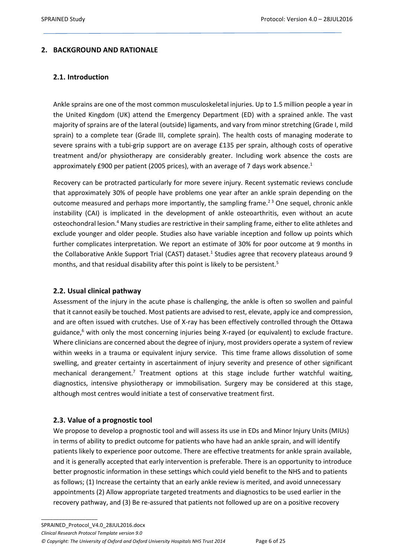# <span id="page-5-1"></span><span id="page-5-0"></span>**2. BACKGROUND AND RATIONALE**

### **2.1. Introduction**

Ankle sprains are one of the most common musculoskeletal injuries. Up to 1.5 million people a year in the United Kingdom (UK) attend the Emergency Department (ED) with a sprained ankle. The vast majority of sprains are of the lateral (outside) ligaments, and vary from minor stretching (Grade I, mild sprain) to a complete tear (Grade III, complete sprain). The health costs of managing moderate to severe sprains with a tubi-grip support are on average £135 per sprain, although costs of operative treatment and/or physiotherapy are considerably greater. Including work absence the costs are approximately £900 per patient (2005 prices), with an average of 7 days work absence. $1$ 

Recovery can be protracted particularly for more severe injury. Recent systematic reviews conclude that approximately 30% of people have problems one year after an ankle sprain depending on the outcome measured and perhaps more importantly, the sampling frame.<sup>23</sup> One sequel, chronic ankle instability (CAI) is implicated in the development of ankle osteoarthritis, even without an acute osteochondral lesion.<sup>4</sup> Many studies are restrictive in their sampling frame, either to elite athletes and exclude younger and older people. Studies also have variable inception and follow up points which further complicates interpretation. We report an estimate of 30% for poor outcome at 9 months in the Collaborative Ankle Support Trial (CAST) dataset.<sup>1</sup> Studies agree that recovery plateaus around 9 months, and that residual disability after this point is likely to be persistent.<sup>5</sup>

#### <span id="page-5-2"></span>**2.2. Usual clinical pathway**

Assessment of the injury in the acute phase is challenging, the ankle is often so swollen and painful that it cannot easily be touched. Most patients are advised to rest, elevate, apply ice and compression, and are often issued with crutches. Use of X-ray has been effectively controlled through the Ottawa guidance,<sup>6</sup> with only the most concerning injuries being X-rayed (or equivalent) to exclude fracture. Where clinicians are concerned about the degree of injury, most providers operate a system of review within weeks in a trauma or equivalent injury service. This time frame allows dissolution of some swelling, and greater certainty in ascertainment of injury severity and presence of other significant mechanical derangement.<sup>7</sup> Treatment options at this stage include further watchful waiting, diagnostics, intensive physiotherapy or immobilisation. Surgery may be considered at this stage, although most centres would initiate a test of conservative treatment first.

#### <span id="page-5-3"></span>**2.3. Value of a prognostic tool**

\_\_\_\_\_\_\_\_\_\_\_\_\_\_\_\_\_\_\_

We propose to develop a prognostic tool and will assess its use in EDs and Minor Injury Units (MIUs) in terms of ability to predict outcome for patients who have had an ankle sprain, and will identify patients likely to experience poor outcome. There are effective treatments for ankle sprain available, and it is generally accepted that early intervention is preferable. There is an opportunity to introduce better prognostic information in these settings which could yield benefit to the NHS and to patients as follows; (1) Increase the certainty that an early ankle review is merited, and avoid unnecessary appointments (2) Allow appropriate targeted treatments and diagnostics to be used earlier in the recovery pathway, and (3) Be re-assured that patients not followed up are on a positive recovery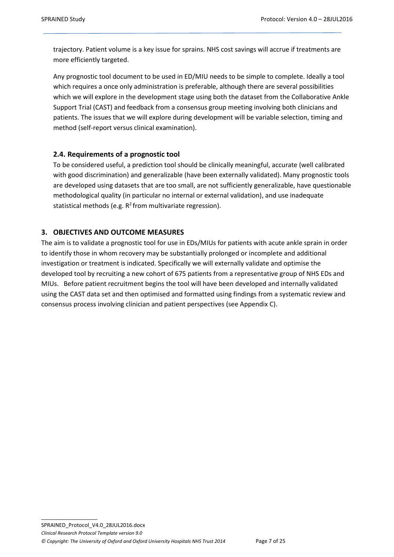trajectory. Patient volume is a key issue for sprains. NHS cost savings will accrue if treatments are more efficiently targeted.

Any prognostic tool document to be used in ED/MIU needs to be simple to complete. Ideally a tool which requires a once only administration is preferable, although there are several possibilities which we will explore in the development stage using both the dataset from the Collaborative Ankle Support Trial (CAST) and feedback from a consensus group meeting involving both clinicians and patients. The issues that we will explore during development will be variable selection, timing and method (self-report versus clinical examination).

# <span id="page-6-0"></span>**2.4. Requirements of a prognostic tool**

To be considered useful, a prediction tool should be clinically meaningful, accurate (well calibrated with good discrimination) and generalizable (have been externally validated). Many prognostic tools are developed using datasets that are too small, are not sufficiently generalizable, have questionable methodological quality (in particular no internal or external validation), and use inadequate statistical methods (e.g.  $R^2$  from multivariate regression).

# <span id="page-6-1"></span>**3. OBJECTIVES AND OUTCOME MEASURES**

The aim is to validate a prognostic tool for use in EDs/MIUs for patients with acute ankle sprain in order to identify those in whom recovery may be substantially prolonged or incomplete and additional investigation or treatment is indicated. Specifically we will externally validate and optimise the developed tool by recruiting a new cohort of 675 patients from a representative group of NHS EDs and MIUs. Before patient recruitment begins the tool will have been developed and internally validated using the CAST data set and then optimised and formatted using findings from a systematic review and consensus process involving clinician and patient perspectives (see Appendix C).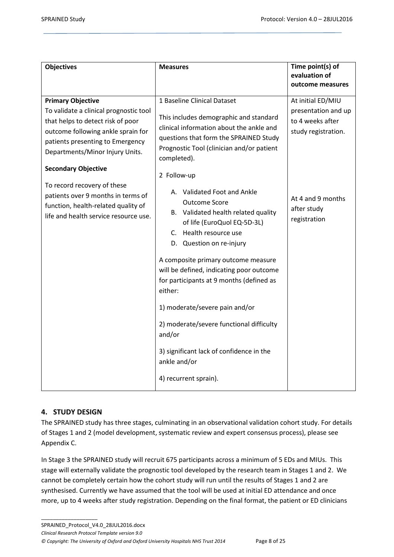| <b>Objectives</b>                                                                                                                                                                                                                                                                                                                                                                                       | <b>Measures</b>                                                                                                                                                                                                                                                                                                                                                                                                                                                                                                                                                                                                                                                                                         | Time point(s) of<br>evaluation of<br>outcome measures                                                                                   |
|---------------------------------------------------------------------------------------------------------------------------------------------------------------------------------------------------------------------------------------------------------------------------------------------------------------------------------------------------------------------------------------------------------|---------------------------------------------------------------------------------------------------------------------------------------------------------------------------------------------------------------------------------------------------------------------------------------------------------------------------------------------------------------------------------------------------------------------------------------------------------------------------------------------------------------------------------------------------------------------------------------------------------------------------------------------------------------------------------------------------------|-----------------------------------------------------------------------------------------------------------------------------------------|
| <b>Primary Objective</b><br>To validate a clinical prognostic tool<br>that helps to detect risk of poor<br>outcome following ankle sprain for<br>patients presenting to Emergency<br>Departments/Minor Injury Units.<br><b>Secondary Objective</b><br>To record recovery of these<br>patients over 9 months in terms of<br>function, health-related quality of<br>life and health service resource use. | 1 Baseline Clinical Dataset<br>This includes demographic and standard<br>clinical information about the ankle and<br>questions that form the SPRAINED Study<br>Prognostic Tool (clinician and/or patient<br>completed).<br>2 Follow-up<br>A. Validated Foot and Ankle<br><b>Outcome Score</b><br>B. Validated health related quality<br>of life (EuroQuol EQ-5D-3L)<br>C. Health resource use<br>D. Question on re-injury<br>A composite primary outcome measure<br>will be defined, indicating poor outcome<br>for participants at 9 months (defined as<br>either:<br>1) moderate/severe pain and/or<br>2) moderate/severe functional difficulty<br>and/or<br>3) significant lack of confidence in the | At initial ED/MIU<br>presentation and up<br>to 4 weeks after<br>study registration.<br>At 4 and 9 months<br>after study<br>registration |
|                                                                                                                                                                                                                                                                                                                                                                                                         | ankle and/or<br>4) recurrent sprain).                                                                                                                                                                                                                                                                                                                                                                                                                                                                                                                                                                                                                                                                   |                                                                                                                                         |

# <span id="page-7-0"></span>**4. STUDY DESIGN**

\_\_\_\_\_\_\_\_\_\_\_\_\_\_\_\_\_\_\_

The SPRAINED study has three stages, culminating in an observational validation cohort study. For details of Stages 1 and 2 (model development, systematic review and expert consensus process), please see Appendix C.

In Stage 3 the SPRAINED study will recruit 675 participants across a minimum of 5 EDs and MIUs. This stage will externally validate the prognostic tool developed by the research team in Stages 1 and 2. We cannot be completely certain how the cohort study will run until the results of Stages 1 and 2 are synthesised. Currently we have assumed that the tool will be used at initial ED attendance and once more, up to 4 weeks after study registration. Depending on the final format, the patient or ED clinicians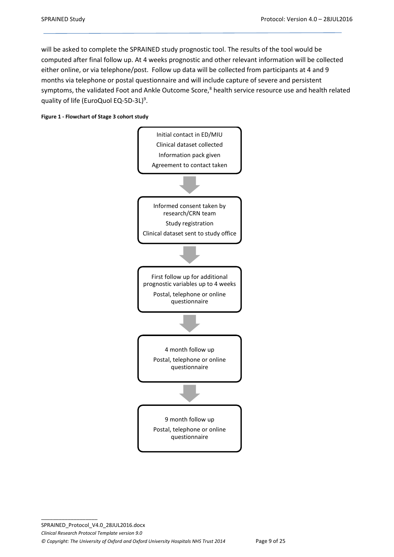will be asked to complete the SPRAINED study prognostic tool. The results of the tool would be computed after final follow up. At 4 weeks prognostic and other relevant information will be collected either online, or via telephone/post. Follow up data will be collected from participants at 4 and 9 months via telephone or postal questionnaire and will include capture of severe and persistent symptoms, the validated Foot and Ankle Outcome Score,<sup>8</sup> health service resource use and health related quality of life (EuroQuol EQ-5D-3L)<sup>9</sup>.



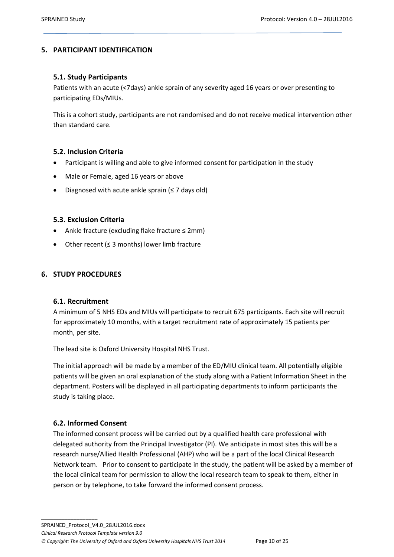### <span id="page-9-1"></span><span id="page-9-0"></span>**5. PARTICIPANT IDENTIFICATION**

### **5.1. Study Participants**

Patients with an acute (<7days) ankle sprain of any severity aged 16 years or over presenting to participating EDs/MIUs.

This is a cohort study, participants are not randomised and do not receive medical intervention other than standard care.

#### <span id="page-9-2"></span>**5.2. Inclusion Criteria**

- Participant is willing and able to give informed consent for participation in the study
- Male or Female, aged 16 years or above
- <span id="page-9-3"></span>Diagnosed with acute ankle sprain (≤ 7 days old)

#### **5.3. Exclusion Criteria**

- Ankle fracture (excluding flake fracture ≤ 2mm)
- Other recent (≤ 3 months) lower limb fracture

#### <span id="page-9-5"></span><span id="page-9-4"></span>**6. STUDY PROCEDURES**

#### **6.1. Recruitment**

A minimum of 5 NHS EDs and MIUs will participate to recruit 675 participants. Each site will recruit for approximately 10 months, with a target recruitment rate of approximately 15 patients per month, per site.

The lead site is Oxford University Hospital NHS Trust.

The initial approach will be made by a member of the ED/MIU clinical team. All potentially eligible patients will be given an oral explanation of the study along with a Patient Information Sheet in the department. Posters will be displayed in all participating departments to inform participants the study is taking place.

#### <span id="page-9-6"></span>**6.2. Informed Consent**

\_\_\_\_\_\_\_\_\_\_\_\_\_\_\_\_\_\_\_

The informed consent process will be carried out by a qualified health care professional with delegated authority from the Principal Investigator (PI). We anticipate in most sites this will be a research nurse/Allied Health Professional (AHP) who will be a part of the local Clinical Research Network team. Prior to consent to participate in the study, the patient will be asked by a member of the local clinical team for permission to allow the local research team to speak to them, either in person or by telephone, to take forward the informed consent process.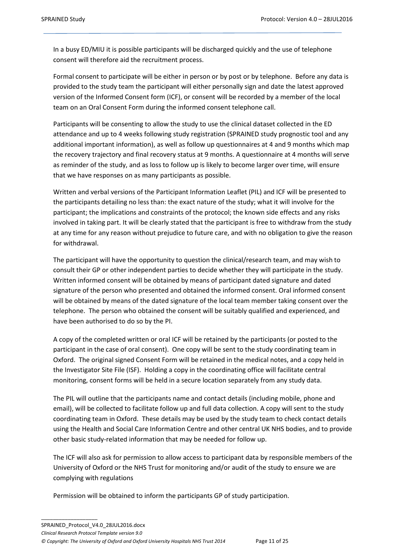In a busy ED/MIU it is possible participants will be discharged quickly and the use of telephone consent will therefore aid the recruitment process.

Formal consent to participate will be either in person or by post or by telephone. Before any data is provided to the study team the participant will either personally sign and date the latest approved version of the Informed Consent form (ICF), or consent will be recorded by a member of the local team on an Oral Consent Form during the informed consent telephone call.

Participants will be consenting to allow the study to use the clinical dataset collected in the ED attendance and up to 4 weeks following study registration (SPRAINED study prognostic tool and any additional important information), as well as follow up questionnaires at 4 and 9 months which map the recovery trajectory and final recovery status at 9 months. A questionnaire at 4 months will serve as reminder of the study, and as loss to follow up is likely to become larger over time, will ensure that we have responses on as many participants as possible.

Written and verbal versions of the Participant Information Leaflet (PIL) and ICF will be presented to the participants detailing no less than: the exact nature of the study; what it will involve for the participant; the implications and constraints of the protocol; the known side effects and any risks involved in taking part. It will be clearly stated that the participant is free to withdraw from the study at any time for any reason without prejudice to future care, and with no obligation to give the reason for withdrawal.

The participant will have the opportunity to question the clinical/research team, and may wish to consult their GP or other independent parties to decide whether they will participate in the study. Written informed consent will be obtained by means of participant dated signature and dated signature of the person who presented and obtained the informed consent. Oral informed consent will be obtained by means of the dated signature of the local team member taking consent over the telephone. The person who obtained the consent will be suitably qualified and experienced, and have been authorised to do so by the PI.

A copy of the completed written or oral ICF will be retained by the participants (or posted to the participant in the case of oral consent). One copy will be sent to the study coordinating team in Oxford. The original signed Consent Form will be retained in the medical notes, and a copy held in the Investigator Site File (ISF). Holding a copy in the coordinating office will facilitate central monitoring, consent forms will be held in a secure location separately from any study data.

The PIL will outline that the participants name and contact details (including mobile, phone and email), will be collected to facilitate follow up and full data collection. A copy will sent to the study coordinating team in Oxford. These details may be used by the study team to check contact details using the Health and Social Care Information Centre and other central UK NHS bodies, and to provide other basic study-related information that may be needed for follow up.

The ICF will also ask for permission to allow access to participant data by responsible members of the University of Oxford or the NHS Trust for monitoring and/or audit of the study to ensure we are complying with regulations

Permission will be obtained to inform the participants GP of study participation.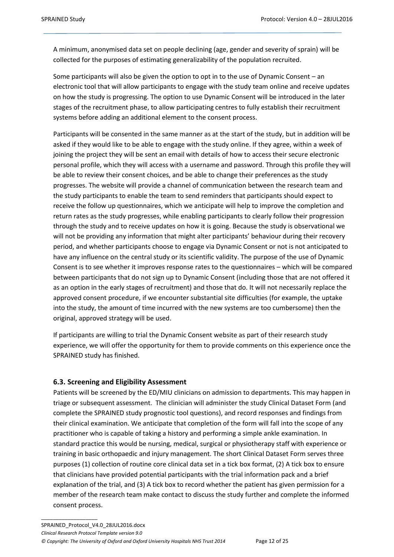A minimum, anonymised data set on people declining (age, gender and severity of sprain) will be collected for the purposes of estimating generalizability of the population recruited.

Some participants will also be given the option to opt in to the use of Dynamic Consent – an electronic tool that will allow participants to engage with the study team online and receive updates on how the study is progressing. The option to use Dynamic Consent will be introduced in the later stages of the recruitment phase, to allow participating centres to fully establish their recruitment systems before adding an additional element to the consent process.

Participants will be consented in the same manner as at the start of the study, but in addition will be asked if they would like to be able to engage with the study online. If they agree, within a week of joining the project they will be sent an email with details of how to access their secure electronic personal profile, which they will access with a username and password. Through this profile they will be able to review their consent choices, and be able to change their preferences as the study progresses. The website will provide a channel of communication between the research team and the study participants to enable the team to send reminders that participants should expect to receive the follow up questionnaires, which we anticipate will help to improve the completion and return rates as the study progresses, while enabling participants to clearly follow their progression through the study and to receive updates on how it is going. Because the study is observational we will not be providing any information that might alter participants' behaviour during their recovery period, and whether participants choose to engage via Dynamic Consent or not is not anticipated to have any influence on the central study or its scientific validity. The purpose of the use of Dynamic Consent is to see whether it improves response rates to the questionnaires – which will be compared between participants that do not sign up to Dynamic Consent (including those that are not offered it as an option in the early stages of recruitment) and those that do. It will not necessarily replace the approved consent procedure, if we encounter substantial site difficulties (for example, the uptake into the study, the amount of time incurred with the new systems are too cumbersome) then the original, approved strategy will be used.

If participants are willing to trial the Dynamic Consent website as part of their research study experience, we will offer the opportunity for them to provide comments on this experience once the SPRAINED study has finished.

# <span id="page-11-0"></span>**6.3. Screening and Eligibility Assessment**

Patients will be screened by the ED/MIU clinicians on admission to departments. This may happen in triage or subsequent assessment. The clinician will administer the study Clinical Dataset Form (and complete the SPRAINED study prognostic tool questions), and record responses and findings from their clinical examination. We anticipate that completion of the form will fall into the scope of any practitioner who is capable of taking a history and performing a simple ankle examination. In standard practice this would be nursing, medical, surgical or physiotherapy staff with experience or training in basic orthopaedic and injury management. The short Clinical Dataset Form serves three purposes (1) collection of routine core clinical data set in a tick box format, (2) A tick box to ensure that clinicians have provided potential participants with the trial information pack and a brief explanation of the trial, and (3) A tick box to record whether the patient has given permission for a member of the research team make contact to discuss the study further and complete the informed consent process.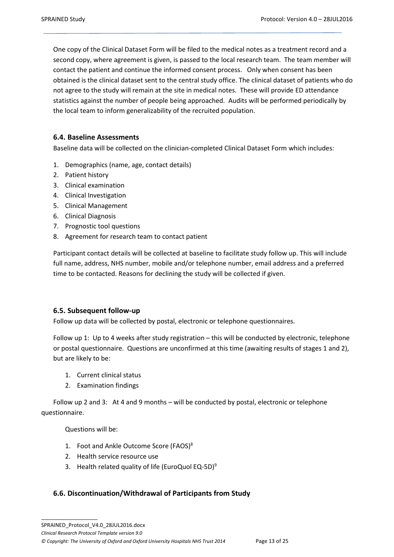One copy of the Clinical Dataset Form will be filed to the medical notes as a treatment record and a second copy, where agreement is given, is passed to the local research team. The team member will contact the patient and continue the informed consent process. Only when consent has been obtained is the clinical dataset sent to the central study office. The clinical dataset of patients who do not agree to the study will remain at the site in medical notes. These will provide ED attendance statistics against the number of people being approached. Audits will be performed periodically by the local team to inform generalizability of the recruited population.

### <span id="page-12-0"></span>**6.4. Baseline Assessments**

Baseline data will be collected on the clinician-completed Clinical Dataset Form which includes:

- 1. Demographics (name, age, contact details)
- 2. Patient history
- 3. Clinical examination
- 4. Clinical Investigation
- 5. Clinical Management
- 6. Clinical Diagnosis
- 7. Prognostic tool questions
- 8. Agreement for research team to contact patient

Participant contact details will be collected at baseline to facilitate study follow up. This will include full name, address, NHS number, mobile and/or telephone number, email address and a preferred time to be contacted. Reasons for declining the study will be collected if given.

#### <span id="page-12-1"></span>**6.5. Subsequent follow-up**

Follow up data will be collected by postal, electronic or telephone questionnaires.

Follow up 1: Up to 4 weeks after study registration – this will be conducted by electronic, telephone or postal questionnaire. Questions are unconfirmed at this time (awaiting results of stages 1 and 2), but are likely to be:

- 1. Current clinical status
- 2. Examination findings

Follow up 2 and 3: At 4 and 9 months – will be conducted by postal, electronic or telephone questionnaire.

Questions will be:

- 1. Foot and Ankle Outcome Score (FAOS)<sup>8</sup>
- 2. Health service resource use
- 3. Health related quality of life (EuroQuol EQ-5D)<sup>9</sup>

#### <span id="page-12-2"></span>**6.6. Discontinuation/Withdrawal of Participants from Study**

*Clinical Research Protocol Template version 9.0*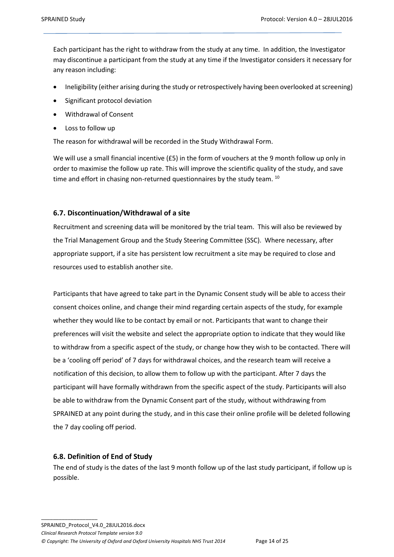Each participant has the right to withdraw from the study at any time. In addition, the Investigator may discontinue a participant from the study at any time if the Investigator considers it necessary for any reason including:

- Ineligibility (either arising during the study or retrospectively having been overlooked at screening)
- Significant protocol deviation
- Withdrawal of Consent
- Loss to follow up

The reason for withdrawal will be recorded in the Study Withdrawal Form.

We will use a small financial incentive (£5) in the form of vouchers at the 9 month follow up only in order to maximise the follow up rate. This will improve the scientific quality of the study, and save time and effort in chasing non-returned questionnaires by the study team. <sup>10</sup>

### <span id="page-13-0"></span>**6.7. Discontinuation/Withdrawal of a site**

Recruitment and screening data will be monitored by the trial team. This will also be reviewed by the Trial Management Group and the Study Steering Committee (SSC). Where necessary, after appropriate support, if a site has persistent low recruitment a site may be required to close and resources used to establish another site.

Participants that have agreed to take part in the Dynamic Consent study will be able to access their consent choices online, and change their mind regarding certain aspects of the study, for example whether they would like to be contact by email or not. Participants that want to change their preferences will visit the website and select the appropriate option to indicate that they would like to withdraw from a specific aspect of the study, or change how they wish to be contacted. There will be a 'cooling off period' of 7 days for withdrawal choices, and the research team will receive a notification of this decision, to allow them to follow up with the participant. After 7 days the participant will have formally withdrawn from the specific aspect of the study. Participants will also be able to withdraw from the Dynamic Consent part of the study, without withdrawing from SPRAINED at any point during the study, and in this case their online profile will be deleted following the 7 day cooling off period.

#### <span id="page-13-1"></span>**6.8. Definition of End of Study**

The end of study is the dates of the last 9 month follow up of the last study participant, if follow up is possible.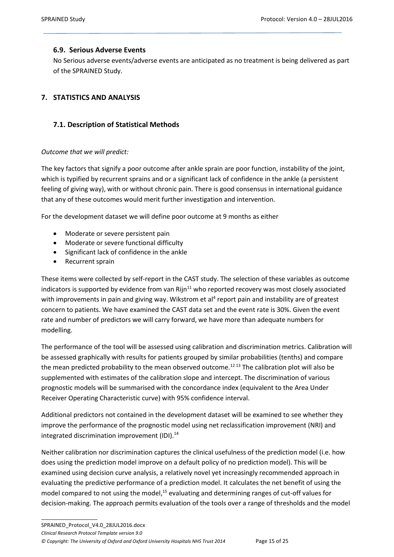### <span id="page-14-0"></span>**6.9. Serious Adverse Events**

No Serious adverse events/adverse events are anticipated as no treatment is being delivered as part of the SPRAINED Study.

# <span id="page-14-2"></span><span id="page-14-1"></span>**7. STATISTICS AND ANALYSIS**

### **7.1. Description of Statistical Methods**

#### *Outcome that we will predict:*

The key factors that signify a poor outcome after ankle sprain are poor function, instability of the joint, which is typified by recurrent sprains and or a significant lack of confidence in the ankle (a persistent feeling of giving way), with or without chronic pain. There is good consensus in international guidance that any of these outcomes would merit further investigation and intervention.

For the development dataset we will define poor outcome at 9 months as either

- Moderate or severe persistent pain
- Moderate or severe functional difficulty
- Significant lack of confidence in the ankle
- Recurrent sprain

\_\_\_\_\_\_\_\_\_\_\_\_\_\_\_\_\_\_\_

These items were collected by self-report in the CAST study. The selection of these variables as outcome indicators is supported by evidence from van  $Rijn<sup>11</sup>$  who reported recovery was most closely associated with improvements in pain and giving way. Wikstrom et al<sup>4</sup> report pain and instability are of greatest concern to patients. We have examined the CAST data set and the event rate is 30%. Given the event rate and number of predictors we will carry forward, we have more than adequate numbers for modelling.

The performance of the tool will be assessed using calibration and discrimination metrics. Calibration will be assessed graphically with results for patients grouped by similar probabilities (tenths) and compare the mean predicted probability to the mean observed outcome.<sup>1213</sup> The calibration plot will also be supplemented with estimates of the calibration slope and intercept. The discrimination of various prognostic models will be summarised with the concordance index (equivalent to the Area Under Receiver Operating Characteristic curve) with 95% confidence interval.

Additional predictors not contained in the development dataset will be examined to see whether they improve the performance of the prognostic model using net reclassification improvement (NRI) and integrated discrimination improvement (IDI).<sup>14</sup>

Neither calibration nor discrimination captures the clinical usefulness of the prediction model (i.e. how does using the prediction model improve on a default policy of no prediction model). This will be examined using decision curve analysis, a relatively novel yet increasingly recommended approach in evaluating the predictive performance of a prediction model. It calculates the net benefit of using the model compared to not using the model,<sup>15</sup> evaluating and determining ranges of cut-off values for decision-making. The approach permits evaluation of the tools over a range of thresholds and the model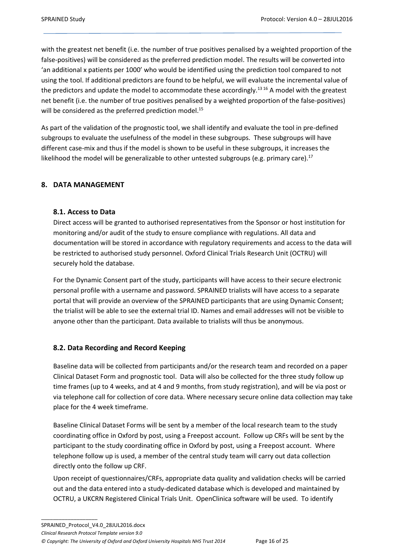with the greatest net benefit (i.e. the number of true positives penalised by a weighted proportion of the false-positives) will be considered as the preferred prediction model. The results will be converted into 'an additional x patients per 1000' who would be identified using the prediction tool compared to not using the tool. If additional predictors are found to be helpful, we will evaluate the incremental value of the predictors and update the model to accommodate these accordingly.<sup>13 16</sup> A model with the greatest net benefit (i.e. the number of true positives penalised by a weighted proportion of the false-positives) will be considered as the preferred prediction model.<sup>15</sup>

As part of the validation of the prognostic tool, we shall identify and evaluate the tool in pre-defined subgroups to evaluate the usefulness of the model in these subgroups. These subgroups will have different case-mix and thus if the model is shown to be useful in these subgroups, it increases the likelihood the model will be generalizable to other untested subgroups (e.g. primary care).<sup>17</sup>

# <span id="page-15-1"></span><span id="page-15-0"></span>**8. DATA MANAGEMENT**

#### **8.1. Access to Data**

Direct access will be granted to authorised representatives from the Sponsor or host institution for monitoring and/or audit of the study to ensure compliance with regulations. All data and documentation will be stored in accordance with regulatory requirements and access to the data will be restricted to authorised study personnel. Oxford Clinical Trials Research Unit (OCTRU) will securely hold the database.

For the Dynamic Consent part of the study, participants will have access to their secure electronic personal profile with a username and password. SPRAINED trialists will have access to a separate portal that will provide an overview of the SPRAINED participants that are using Dynamic Consent; the trialist will be able to see the external trial ID. Names and email addresses will not be visible to anyone other than the participant. Data available to trialists will thus be anonymous.

#### <span id="page-15-2"></span>**8.2. Data Recording and Record Keeping**

Baseline data will be collected from participants and/or the research team and recorded on a paper Clinical Dataset Form and prognostic tool. Data will also be collected for the three study follow up time frames (up to 4 weeks, and at 4 and 9 months, from study registration), and will be via post or via telephone call for collection of core data. Where necessary secure online data collection may take place for the 4 week timeframe.

Baseline Clinical Dataset Forms will be sent by a member of the local research team to the study coordinating office in Oxford by post, using a Freepost account. Follow up CRFs will be sent by the participant to the study coordinating office in Oxford by post, using a Freepost account. Where telephone follow up is used, a member of the central study team will carry out data collection directly onto the follow up CRF.

Upon receipt of questionnaires/CRFs, appropriate data quality and validation checks will be carried out and the data entered into a study-dedicated database which is developed and maintained by OCTRU, a UKCRN Registered Clinical Trials Unit. OpenClinica software will be used. To identify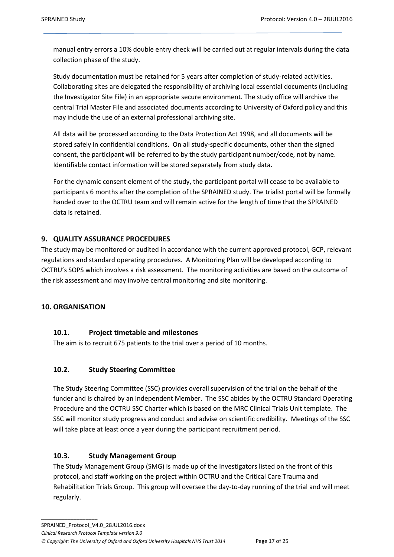manual entry errors a 10% double entry check will be carried out at regular intervals during the data collection phase of the study.

Study documentation must be retained for 5 years after completion of study-related activities. Collaborating sites are delegated the responsibility of archiving local essential documents (including the Investigator Site File) in an appropriate secure environment. The study office will archive the central Trial Master File and associated documents according to University of Oxford policy and this may include the use of an external professional archiving site.

All data will be processed according to the Data Protection Act 1998, and all documents will be stored safely in confidential conditions. On all study-specific documents, other than the signed consent, the participant will be referred to by the study participant number/code, not by name. Identifiable contact information will be stored separately from study data.

For the dynamic consent element of the study, the participant portal will cease to be available to participants 6 months after the completion of the SPRAINED study. The trialist portal will be formally handed over to the OCTRU team and will remain active for the length of time that the SPRAINED data is retained.

# <span id="page-16-0"></span>**9. QUALITY ASSURANCE PROCEDURES**

The study may be monitored or audited in accordance with the current approved protocol, GCP, relevant regulations and standard operating procedures. A Monitoring Plan will be developed according to OCTRU's SOPS which involves a risk assessment. The monitoring activities are based on the outcome of the risk assessment and may involve central monitoring and site monitoring.

# <span id="page-16-2"></span><span id="page-16-1"></span>**10. ORGANISATION**

\_\_\_\_\_\_\_\_\_\_\_\_\_\_\_\_\_\_\_

# **10.1. Project timetable and milestones**

The aim is to recruit 675 patients to the trial over a period of 10 months.

# <span id="page-16-3"></span>**10.2. Study Steering Committee**

The Study Steering Committee (SSC) provides overall supervision of the trial on the behalf of the funder and is chaired by an Independent Member. The SSC abides by the OCTRU Standard Operating Procedure and the OCTRU SSC Charter which is based on the MRC Clinical Trials Unit template. The SSC will monitor study progress and conduct and advise on scientific credibility. Meetings of the SSC will take place at least once a year during the participant recruitment period.

# <span id="page-16-4"></span>**10.3. Study Management Group**

The Study Management Group (SMG) is made up of the Investigators listed on the front of this protocol, and staff working on the project within OCTRU and the Critical Care Trauma and Rehabilitation Trials Group. This group will oversee the day-to-day running of the trial and will meet regularly.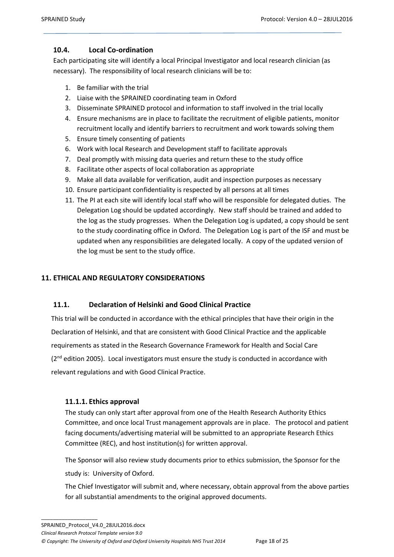### <span id="page-17-0"></span>**10.4. Local Co-ordination**

Each participating site will identify a local Principal Investigator and local research clinician (as necessary). The responsibility of local research clinicians will be to:

- 1. Be familiar with the trial
- 2. Liaise with the SPRAINED coordinating team in Oxford
- 3. Disseminate SPRAINED protocol and information to staff involved in the trial locally
- 4. Ensure mechanisms are in place to facilitate the recruitment of eligible patients, monitor recruitment locally and identify barriers to recruitment and work towards solving them
- 5. Ensure timely consenting of patients
- 6. Work with local Research and Development staff to facilitate approvals
- 7. Deal promptly with missing data queries and return these to the study office
- 8. Facilitate other aspects of local collaboration as appropriate
- 9. Make all data available for verification, audit and inspection purposes as necessary
- 10. Ensure participant confidentiality is respected by all persons at all times
- 11. The PI at each site will identify local staff who will be responsible for delegated duties. The Delegation Log should be updated accordingly. New staff should be trained and added to the log as the study progresses. When the Delegation Log is updated, a copy should be sent to the study coordinating office in Oxford. The Delegation Log is part of the ISF and must be updated when any responsibilities are delegated locally. A copy of the updated version of the log must be sent to the study office.

### <span id="page-17-2"></span><span id="page-17-1"></span>**11. ETHICAL AND REGULATORY CONSIDERATIONS**

#### **11.1. Declaration of Helsinki and Good Clinical Practice**

 This trial will be conducted in accordance with the ethical principles that have their origin in the Declaration of Helsinki, and that are consistent with Good Clinical Practice and the applicable requirements as stated in the Research Governance Framework for Health and Social Care (2<sup>nd</sup> edition 2005). Local investigators must ensure the study is conducted in accordance with relevant regulations and with Good Clinical Practice.

#### <span id="page-17-3"></span>**11.1.1. Ethics approval**

\_\_\_\_\_\_\_\_\_\_\_\_\_\_\_\_\_\_\_

The study can only start after approval from one of the Health Research Authority Ethics Committee, and once local Trust management approvals are in place. The protocol and patient facing documents/advertising material will be submitted to an appropriate Research Ethics Committee (REC), and host institution(s) for written approval.

The Sponsor will also review study documents prior to ethics submission, the Sponsor for the study is: University of Oxford.

The Chief Investigator will submit and, where necessary, obtain approval from the above parties for all substantial amendments to the original approved documents.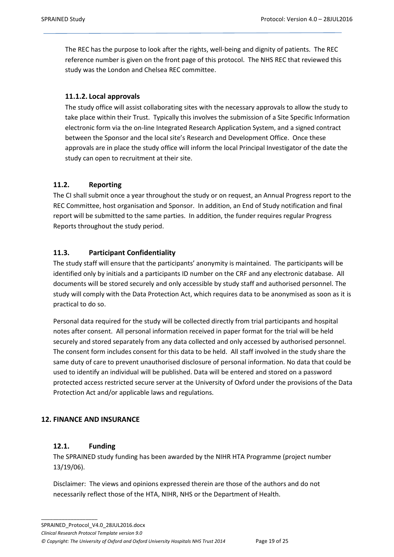The REC has the purpose to look after the rights, well-being and dignity of patients. The REC reference number is given on the front page of this protocol. The NHS REC that reviewed this study was the London and Chelsea REC committee.

# <span id="page-18-0"></span>**11.1.2. Local approvals**

The study office will assist collaborating sites with the necessary approvals to allow the study to take place within their Trust. Typically this involves the submission of a Site Specific Information electronic form via the on-line Integrated Research Application System, and a signed contract between the Sponsor and the local site's Research and Development Office. Once these approvals are in place the study office will inform the local Principal Investigator of the date the study can open to recruitment at their site.

# <span id="page-18-1"></span>**11.2. Reporting**

The CI shall submit once a year throughout the study or on request, an Annual Progress report to the REC Committee, host organisation and Sponsor. In addition, an End of Study notification and final report will be submitted to the same parties. In addition, the funder requires regular Progress Reports throughout the study period.

# <span id="page-18-2"></span>**11.3. Participant Confidentiality**

The study staff will ensure that the participants' anonymity is maintained. The participants will be identified only by initials and a participants ID number on the CRF and any electronic database. All documents will be stored securely and only accessible by study staff and authorised personnel. The study will comply with the Data Protection Act, which requires data to be anonymised as soon as it is practical to do so.

Personal data required for the study will be collected directly from trial participants and hospital notes after consent. All personal information received in paper format for the trial will be held securely and stored separately from any data collected and only accessed by authorised personnel. The consent form includes consent for this data to be held. All staff involved in the study share the same duty of care to prevent unauthorised disclosure of personal information. No data that could be used to identify an individual will be published. Data will be entered and stored on a password protected access restricted secure server at the University of Oxford under the provisions of the Data Protection Act and/or applicable laws and regulations.

# <span id="page-18-4"></span><span id="page-18-3"></span>**12. FINANCE AND INSURANCE**

# **12.1. Funding**

\_\_\_\_\_\_\_\_\_\_\_\_\_\_\_\_\_\_\_

The SPRAINED study funding has been awarded by the NIHR HTA Programme (project number 13/19/06).

Disclaimer: The views and opinions expressed therein are those of the authors and do not necessarily reflect those of the HTA, NIHR, NHS or the Department of Health.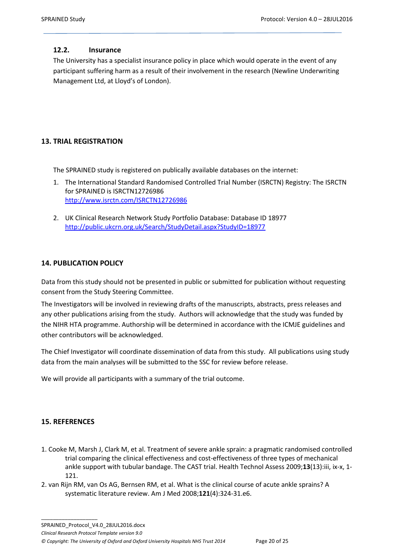# <span id="page-19-0"></span>**12.2. Insurance**

The University has a specialist insurance policy in place which would operate in the event of any participant suffering harm as a result of their involvement in the research (Newline Underwriting Management Ltd, at Lloyd's of London).

# <span id="page-19-1"></span>**13. TRIAL REGISTRATION**

The SPRAINED study is registered on publically available databases on the internet:

- 1. The International Standard Randomised Controlled Trial Number (ISRCTN) Registry: The ISRCTN for SPRAINED is ISRCTN12726986 <http://www.isrctn.com/ISRCTN12726986>
- 2. UK Clinical Research Network Study Portfolio Database: Database ID 18977 <http://public.ukcrn.org.uk/Search/StudyDetail.aspx?StudyID=18977>

# <span id="page-19-2"></span>**14. PUBLICATION POLICY**

Data from this study should not be presented in public or submitted for publication without requesting consent from the Study Steering Committee.

The Investigators will be involved in reviewing drafts of the manuscripts, abstracts, press releases and any other publications arising from the study. Authors will acknowledge that the study was funded by the NIHR HTA programme. Authorship will be determined in accordance with the ICMJE guidelines and other contributors will be acknowledged.

The Chief Investigator will coordinate dissemination of data from this study. All publications using study data from the main analyses will be submitted to the SSC for review before release.

We will provide all participants with a summary of the trial outcome.

# <span id="page-19-3"></span>**15. REFERENCES**

- 1. Cooke M, Marsh J, Clark M, et al. Treatment of severe ankle sprain: a pragmatic randomised controlled trial comparing the clinical effectiveness and cost-effectiveness of three types of mechanical ankle support with tubular bandage. The CAST trial. Health Technol Assess 2009;**13**(13):iii, ix-x, 1- 121.
- 2. van Rijn RM, van Os AG, Bernsen RM, et al. What is the clinical course of acute ankle sprains? A systematic literature review. Am J Med 2008;**121**(4):324-31.e6.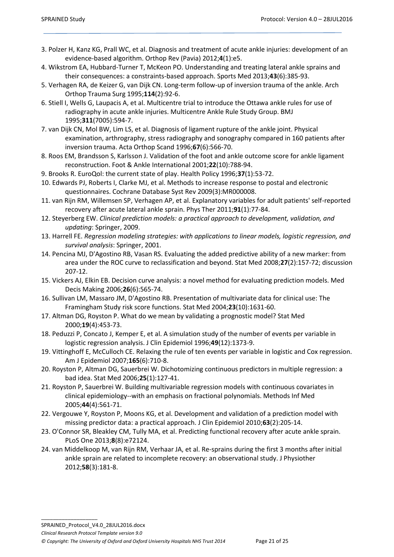- 3. Polzer H, Kanz KG, Prall WC, et al. Diagnosis and treatment of acute ankle injuries: development of an evidence-based algorithm. Orthop Rev (Pavia) 2012;**4**(1):e5.
- 4. Wikstrom EA, Hubbard-Turner T, McKeon PO. Understanding and treating lateral ankle sprains and their consequences: a constraints-based approach. Sports Med 2013;**43**(6):385-93.
- 5. Verhagen RA, de Keizer G, van Dijk CN. Long-term follow-up of inversion trauma of the ankle. Arch Orthop Trauma Surg 1995;**114**(2):92-6.
- 6. Stiell I, Wells G, Laupacis A, et al. Multicentre trial to introduce the Ottawa ankle rules for use of radiography in acute ankle injuries. Multicentre Ankle Rule Study Group. BMJ 1995;**311**(7005):594-7.
- 7. van Dijk CN, Mol BW, Lim LS, et al. Diagnosis of ligament rupture of the ankle joint. Physical examination, arthrography, stress radiography and sonography compared in 160 patients after inversion trauma. Acta Orthop Scand 1996;**67**(6):566-70.
- 8. Roos EM, Brandsson S, Karlsson J. Validation of the foot and ankle outcome score for ankle ligament reconstruction. Foot & Ankle International 2001;**22**(10):788-94.
- 9. Brooks R. EuroQol: the current state of play. Health Policy 1996;**37**(1):53-72.
- 10. Edwards PJ, Roberts I, Clarke MJ, et al. Methods to increase response to postal and electronic questionnaires. Cochrane Database Syst Rev 2009(3):MR000008.
- 11. van Rijn RM, Willemsen SP, Verhagen AP, et al. Explanatory variables for adult patients' self-reported recovery after acute lateral ankle sprain. Phys Ther 2011;**91**(1):77-84.
- 12. Steyerberg EW. *Clinical prediction models: a practical approach to development, validation, and updating*: Springer, 2009.
- 13. Harrell FE. *Regression modeling strategies: with applications to linear models, logistic regression, and survival analysis*: Springer, 2001.
- 14. Pencina MJ, D'Agostino RB, Vasan RS. Evaluating the added predictive ability of a new marker: from area under the ROC curve to reclassification and beyond. Stat Med 2008;**27**(2):157-72; discussion 207-12.
- 15. Vickers AJ, Elkin EB. Decision curve analysis: a novel method for evaluating prediction models. Med Decis Making 2006;**26**(6):565-74.
- 16. Sullivan LM, Massaro JM, D'Agostino RB. Presentation of multivariate data for clinical use: The Framingham Study risk score functions. Stat Med 2004;**23**(10):1631-60.
- 17. Altman DG, Royston P. What do we mean by validating a prognostic model? Stat Med 2000;**19**(4):453-73.
- 18. Peduzzi P, Concato J, Kemper E, et al. A simulation study of the number of events per variable in logistic regression analysis. J Clin Epidemiol 1996;**49**(12):1373-9.
- 19. Vittinghoff E, McCulloch CE. Relaxing the rule of ten events per variable in logistic and Cox regression. Am J Epidemiol 2007;**165**(6):710-8.
- 20. Royston P, Altman DG, Sauerbrei W. Dichotomizing continuous predictors in multiple regression: a bad idea. Stat Med 2006;**25**(1):127-41.
- 21. Royston P, Sauerbrei W. Building multivariable regression models with continuous covariates in clinical epidemiology--with an emphasis on fractional polynomials. Methods Inf Med 2005;**44**(4):561-71.
- 22. Vergouwe Y, Royston P, Moons KG, et al. Development and validation of a prediction model with missing predictor data: a practical approach. J Clin Epidemiol 2010;**63**(2):205-14.
- 23. O'Connor SR, Bleakley CM, Tully MA, et al. Predicting functional recovery after acute ankle sprain. PLoS One 2013;**8**(8):e72124.
- 24. van Middelkoop M, van Rijn RM, Verhaar JA, et al. Re-sprains during the first 3 months after initial ankle sprain are related to incomplete recovery: an observational study. J Physiother 2012;**58**(3):181-8.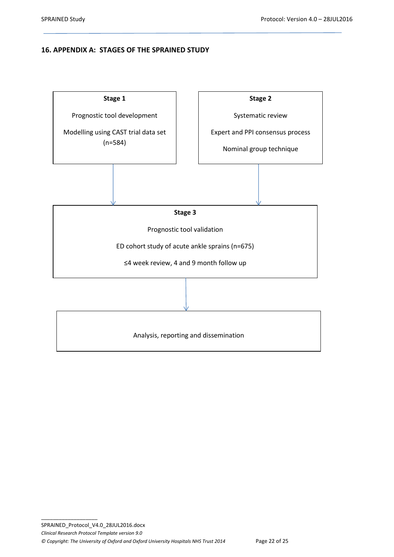### <span id="page-21-0"></span>**16. APPENDIX A: STAGES OF THE SPRAINED STUDY**

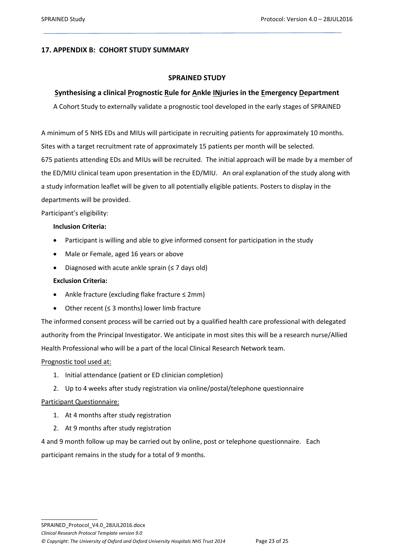### <span id="page-22-0"></span>**17. APPENDIX B: COHORT STUDY SUMMARY**

#### **SPRAINED STUDY**

### **Synthesising a clinical Prognostic Rule for Ankle INjuries in the Emergency Department**

A Cohort Study to externally validate a prognostic tool developed in the early stages of SPRAINED

A minimum of 5 NHS EDs and MIUs will participate in recruiting patients for approximately 10 months. Sites with a target recruitment rate of approximately 15 patients per month will be selected. 675 patients attending EDs and MIUs will be recruited. The initial approach will be made by a member of the ED/MIU clinical team upon presentation in the ED/MIU. An oral explanation of the study along with a study information leaflet will be given to all potentially eligible patients. Posters to display in the departments will be provided.

Participant's eligibility:

#### **Inclusion Criteria:**

- Participant is willing and able to give informed consent for participation in the study
- Male or Female, aged 16 years or above
- Diagnosed with acute ankle sprain ( $\leq$  7 days old)

#### **Exclusion Criteria:**

- Ankle fracture (excluding flake fracture ≤ 2mm)
- Other recent (≤ 3 months) lower limb fracture

The informed consent process will be carried out by a qualified health care professional with delegated authority from the Principal Investigator. We anticipate in most sites this will be a research nurse/Allied Health Professional who will be a part of the local Clinical Research Network team.

#### Prognostic tool used at:

- 1. Initial attendance (patient or ED clinician completion)
- 2. Up to 4 weeks after study registration via online/postal/telephone questionnaire

#### Participant Questionnaire:

- 1. At 4 months after study registration
- 2. At 9 months after study registration

4 and 9 month follow up may be carried out by online, post or telephone questionnaire. Each participant remains in the study for a total of 9 months.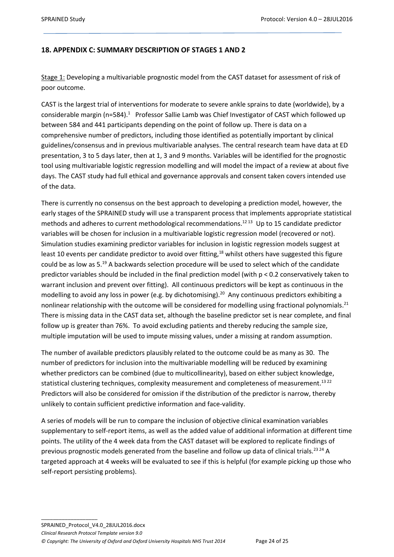### <span id="page-23-0"></span>**18. APPENDIX C: SUMMARY DESCRIPTION OF STAGES 1 AND 2**

Stage 1: Developing a multivariable prognostic model from the CAST dataset for assessment of risk of poor outcome.

CAST is the largest trial of interventions for moderate to severe ankle sprains to date (worldwide), by a considerable margin (n=584).<sup>1</sup> Professor Sallie Lamb was Chief Investigator of CAST which followed up between 584 and 441 participants depending on the point of follow up. There is data on a comprehensive number of predictors, including those identified as potentially important by clinical guidelines/consensus and in previous multivariable analyses. The central research team have data at ED presentation, 3 to 5 days later, then at 1, 3 and 9 months. Variables will be identified for the prognostic tool using multivariable logistic regression modelling and will model the impact of a review at about five days. The CAST study had full ethical and governance approvals and consent taken covers intended use of the data.

There is currently no consensus on the best approach to developing a prediction model, however, the early stages of the SPRAINED study will use a transparent process that implements appropriate statistical methods and adheres to current methodological recommendations.<sup>1213</sup> Up to 15 candidate predictor variables will be chosen for inclusion in a multivariable logistic regression model (recovered or not). Simulation studies examining predictor variables for inclusion in logistic regression models suggest at least 10 events per candidate predictor to avoid over fitting,<sup>18</sup> whilst others have suggested this figure could be as low as 5.<sup>19</sup> A backwards selection procedure will be used to select which of the candidate predictor variables should be included in the final prediction model (with p < 0.2 conservatively taken to warrant inclusion and prevent over fitting). All continuous predictors will be kept as continuous in the modelling to avoid any loss in power (e.g. by dichotomising).<sup>20</sup> Any continuous predictors exhibiting a nonlinear relationship with the outcome will be considered for modelling using fractional polynomials.<sup>21</sup> There is missing data in the CAST data set, although the baseline predictor set is near complete, and final follow up is greater than 76%. To avoid excluding patients and thereby reducing the sample size, multiple imputation will be used to impute missing values, under a missing at random assumption.

The number of available predictors plausibly related to the outcome could be as many as 30. The number of predictors for inclusion into the multivariable modelling will be reduced by examining whether predictors can be combined (due to multicollinearity), based on either subject knowledge, statistical clustering techniques, complexity measurement and completeness of measurement.<sup>1322</sup> Predictors will also be considered for omission if the distribution of the predictor is narrow, thereby unlikely to contain sufficient predictive information and face-validity.

A series of models will be run to compare the inclusion of objective clinical examination variables supplementary to self-report items, as well as the added value of additional information at different time points. The utility of the 4 week data from the CAST dataset will be explored to replicate findings of previous prognostic models generated from the baseline and follow up data of clinical trials.<sup>23 24</sup> A targeted approach at 4 weeks will be evaluated to see if this is helpful (for example picking up those who self-report persisting problems).